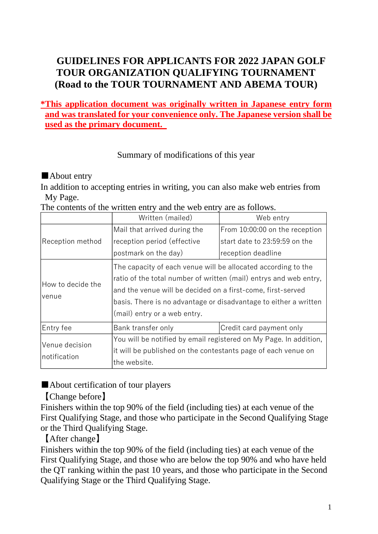# **GUIDELINES FOR APPLICANTS FOR 2022 JAPAN GOLF TOUR ORGANIZATION QUALIFYING TOURNAMENT (Road to the TOUR TOURNAMENT AND ABEMA TOUR)**

# **\*This application document was originally written in Japanese entry form and was translated for your convenience only. The Japanese version shall be used as the primary document.**

# Summary of modifications of this year

# ■About entry

In addition to accepting entries in writing, you can also make web entries from My Page.

The contents of the written entry and the web entry are as follows.

|                                | Written (mailed)                                                                                                                                                                                                                                                                                      | Web entry                      |
|--------------------------------|-------------------------------------------------------------------------------------------------------------------------------------------------------------------------------------------------------------------------------------------------------------------------------------------------------|--------------------------------|
| Reception method               | Mail that arrived during the                                                                                                                                                                                                                                                                          | From 10:00:00 on the reception |
|                                | reception period (effective                                                                                                                                                                                                                                                                           | start date to 23:59:59 on the  |
|                                | postmark on the day)                                                                                                                                                                                                                                                                                  | reception deadline             |
| How to decide the<br>venue     | The capacity of each venue will be allocated according to the<br>ratio of the total number of written (mail) entrys and web entry,<br>and the venue will be decided on a first-come, first-served<br>basis. There is no advantage or disadvantage to either a written<br>(mail) entry or a web entry. |                                |
| Entry fee                      | Bank transfer only                                                                                                                                                                                                                                                                                    | Credit card payment only       |
| Venue decision<br>notification | You will be notified by email registered on My Page. In addition,<br>it will be published on the contestants page of each venue on<br>the website.                                                                                                                                                    |                                |

# ■About certification of tour players

# 【Change before】

Finishers within the top 90% of the field (including ties) at each venue of the First Qualifying Stage, and those who participate in the Second Qualifying Stage or the Third Qualifying Stage.

# 【After change】

Finishers within the top 90% of the field (including ties) at each venue of the First Qualifying Stage, and those who are below the top 90% and who have held the QT ranking within the past 10 years, and those who participate in the Second Qualifying Stage or the Third Qualifying Stage.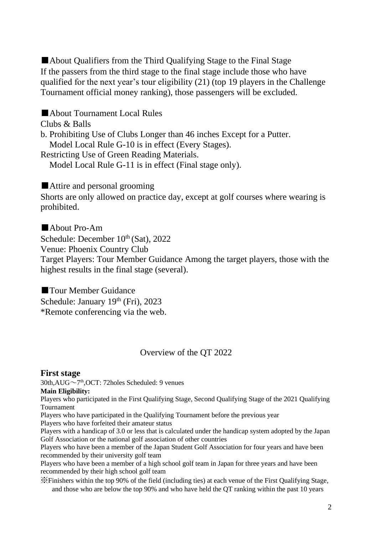■About Qualifiers from the Third Qualifying Stage to the Final Stage If the passers from the third stage to the final stage include those who have qualified for the next year's tour eligibility (21) (top 19 players in the Challenge Tournament official money ranking), those passengers will be excluded.

■About Tournament Local Rules Clubs & Balls b. Prohibiting Use of Clubs Longer than 46 inches Except for a Putter. Model Local Rule G-10 is in effect (Every Stages). Restricting Use of Green Reading Materials. Model Local Rule G-11 is in effect (Final stage only).

■Attire and personal grooming

Shorts are only allowed on practice day, except at golf courses where wearing is prohibited.

■About Pro-Am Schedule: December  $10<sup>th</sup>$  (Sat), 2022 Venue: Phoenix Country Club Target Players: Tour Member Guidance Among the target players, those with the highest results in the final stage (several).

■ Tour Member Guidance Schedule: January 19th (Fri), 2023 \*Remote conferencing via the web.

# Overview of the QT 2022

## **First stage**

30th,AUG~7 th,OCT: 72holes Scheduled: 9 venues

### **Main Eligibility:**

Players who participated in the First Qualifying Stage, Second Qualifying Stage of the 2021 Qualifying Tournament

Players who have participated in the Qualifying Tournament before the previous year

Players who have forfeited their amateur status

Players with a handicap of 3.0 or less that is calculated under the handicap system adopted by the Japan Golf Association or the national golf association of other countries

Players who have been a member of the Japan Student Golf Association for four years and have been recommended by their university golf team

Players who have been a member of a high school golf team in Japan for three years and have been recommended by their high school golf team

※Finishers within the top 90% of the field (including ties) at each venue of the First Qualifying Stage, and those who are below the top 90% and who have held the QT ranking within the past 10 years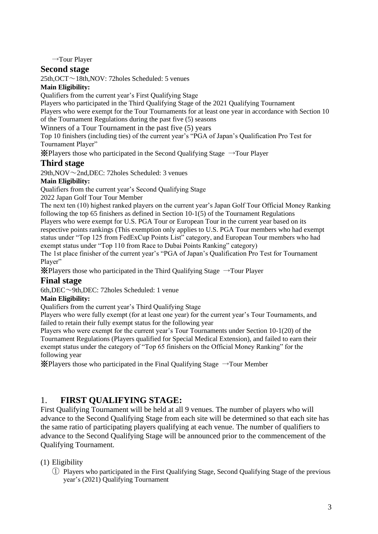→Tour Player

## **Second stage**

25th,OCT~18th,NOV: 72holes Scheduled: 5 venues

## **Main Eligibility:**

Qualifiers from the current year's First Qualifying Stage

Players who participated in the Third Qualifying Stage of the 2021 Qualifying Tournament

Players who were exempt for the Tour Tournaments for at least one year in accordance with Section 10 of the Tournament Regulations during the past five (5) seasons

Winners of a Tour Tournament in the past five (5) years

Top 10 finishers (including ties) of the current year's "PGA of Japan's Qualification Pro Test for Tournament Player"

※Players those who participated in the Second Qualifying Stage →Tour Player

# **Third stage**

29th, NOV $\sim$ 2nd, DEC: 72holes Scheduled: 3 venues

## **Main Eligibility:**

Qualifiers from the current year's Second Qualifying Stage

2022 Japan Golf Tour Tour Member

The next ten (10) highest ranked players on the current year's Japan Golf Tour Official Money Ranking following the top 65 finishers as defined in Section 10-1(5) of the Tournament Regulations Players who were exempt for U.S. PGA Tour or European Tour in the current year based on its respective points rankings (This exemption only applies to U.S. PGA Tour members who had exempt status under "Top 125 from FedExCup Points List" category, and European Tour members who had exempt status under "Top 110 from Race to Dubai Points Ranking" category)

The 1st place finisher of the current year's "PGA of Japan's Qualification Pro Test for Tournament Player"

※Players those who participated in the Third Qualifying Stage →Tour Player

## **Final stage**

6th,DEC~9th,DEC: 72holes Scheduled: 1 venue

### **Main Eligibility:**

Qualifiers from the current year's Third Qualifying Stage

Players who were fully exempt (for at least one year) for the current year's Tour Tournaments, and failed to retain their fully exempt status for the following year

Players who were exempt for the current year's Tour Tournaments under Section 10-1(20) of the Tournament Regulations (Players qualified for Special Medical Extension), and failed to earn their exempt status under the category of "Top 65 finishers on the Official Money Ranking" for the following year

 $\mathcal{\hat{X}}$ Players those who participated in the Final Qualifying Stage  $\rightarrow$  Tour Member

# 1. **FIRST QUALIFYING STAGE:**

First Qualifying Tournament will be held at all 9 venues. The number of players who will advance to the Second Qualifying Stage from each site will be determined so that each site has the same ratio of participating players qualifying at each venue. The number of qualifiers to advance to the Second Qualifying Stage will be announced prior to the commencement of the Qualifying Tournament.

## (1) Eligibility

① Players who participated in the First Qualifying Stage, Second Qualifying Stage of the previous year's (2021) Qualifying Tournament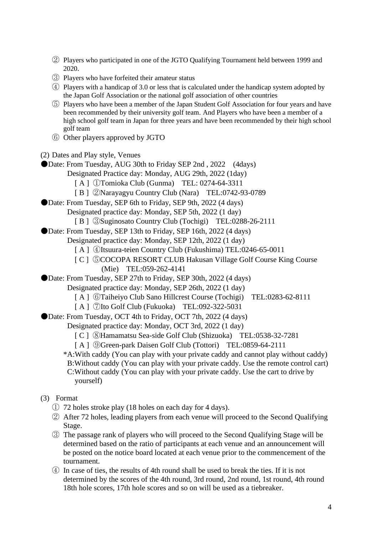- ② Players who participated in one of the JGTO Qualifying Tournament held between 1999 and 2020.
- ③ Players who have forfeited their amateur status
- ④ Players with a handicap of 3.0 or less that is calculated under the handicap system adopted by the Japan Golf Association or the national golf association of other countries
- ⑤ Players who have been a member of the Japan Student Golf Association for four years and have been recommended by their university golf team. And Players who have been a member of a high school golf team in Japan for three years and have been recommended by their high school golf team
- ⑥ Other players approved by JGTO
- (2) Dates and Play style, Venues

●Date: From Tuesday, AUG 30th to Friday SEP 2nd, 2022 (4days)

- Designated Practice day: Monday, AUG 29th, 2022 (1day)
	- [ A ] ①Tomioka Club (Gunma) TEL: 0274-64-3311
	- [ B ] ②Narayagyu Country Club (Nara) TEL:0742-93-0789
- Date: From Tuesday, SEP 6th to Friday, SEP 9th, 2022 (4 days)
	- Designated practice day: Monday, SEP 5th, 2022 (1 day)
	- [ B ] ③Suginosato Country Club (Tochigi) TEL:0288-26-2111
- ●Date: From Tuesday, SEP 13th to Friday, SEP 16th, 2022 (4 days)
	- Designated practice day: Monday, SEP 12th, 2022 (1 day)
		- [ A ] ④Itsuura-teien Country Club (Fukushima) TEL:0246-65-0011
		- [ C ] ⑤COCOPA RESORT CLUB Hakusan Village Golf Course King Course (Mie) TEL:059-262-4141
- ●Date: From Tuesday, SEP 27th to Friday, SEP 30th, 2022 (4 days)
	- Designated practice day: Monday, SEP 26th, 2022 (1 day)
		- [ A ] ⑥Taiheiyo Club Sano Hillcrest Course (Tochigi) TEL:0283-62-8111
		- [ A ] ⑦Ito Golf Club (Fukuoka) TEL:092-322-5031
- ●Date: From Tuesday, OCT 4th to Friday, OCT 7th, 2022 (4 days)
	- Designated practice day: Monday, OCT 3rd, 2022 (1 day)
		- [ C ] ⑧Hamamatsu Sea-side Golf Club (Shizuoka) TEL:0538-32-7281
		- [ A ] ⑨Green-park Daisen Golf Club (Tottori) TEL:0859-64-2111

 \*A:With caddy (You can play with your private caddy and cannot play without caddy) B:Without caddy (You can play with your private caddy. Use the remote control cart) C:Without caddy (You can play with your private caddy. Use the cart to drive by yourself)

### (3) Format

- ① 72 holes stroke play (18 holes on each day for 4 days).
- ② After 72 holes, leading players from each venue will proceed to the Second Qualifying Stage.
- ③ The passage rank of players who will proceed to the Second Qualifying Stage will be determined based on the ratio of participants at each venue and an announcement will be posted on the notice board located at each venue prior to the commencement of the tournament.
- ④ In case of ties, the results of 4th round shall be used to break the ties. If it is not determined by the scores of the 4th round, 3rd round, 2nd round, 1st round, 4th round 18th hole scores, 17th hole scores and so on will be used as a tiebreaker.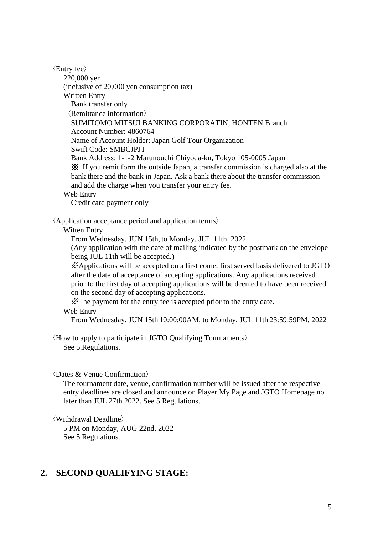〈Entry fee〉 220,000 yen (inclusive of 20,000 yen consumption tax) Written Entry Bank transfer only 〈Remittance information〉 SUMITOMO MITSUI BANKING CORPORATIN, HONTEN Branch Account Number: 4860764 Name of Account Holder: Japan Golf Tour Organization Swift Code: SMBCJPJT Bank Address: 1-1-2 Marunouchi Chiyoda-ku, Tokyo 105-0005 Japan ※ If you remit form the outside Japan, a transfer commission is charged also at the bank there and the bank in Japan. Ask a bank there about the transfer commission and add the charge when you transfer your entry fee. Web Entry

Credit card payment only

〈Application acceptance period and application terms〉

Witten Entry

From Wednesday, JUN 15th, to Monday, JUL 11th, 2022

(Any application with the date of mailing indicated by the postmark on the envelope being JUL 11th will be accepted.)

※Applications will be accepted on a first come, first served basis delivered to JGTO after the date of acceptance of accepting applications. Any applications received prior to the first day of accepting applications will be deemed to have been received on the second day of accepting applications.

※The payment for the entry fee is accepted prior to the entry date.

#### Web Entry

From Wednesday, JUN 15th 10:00:00AM, to Monday, JUL 11th 23:59:59PM, 2022

〈How to apply to participate in JGTO Qualifying Tournaments〉 See 5.Regulations.

### 〈Dates & Venue Confirmation〉

The tournament date, venue, confirmation number will be issued after the respective entry deadlines are closed and announce on Player My Page and JGTO Homepage no later than JUL 27th 2022. See 5.Regulations.

〈Withdrawal Deadline〉

5 PM on Monday, AUG 22nd, 2022 See 5.Regulations.

# **2. SECOND QUALIFYING STAGE:**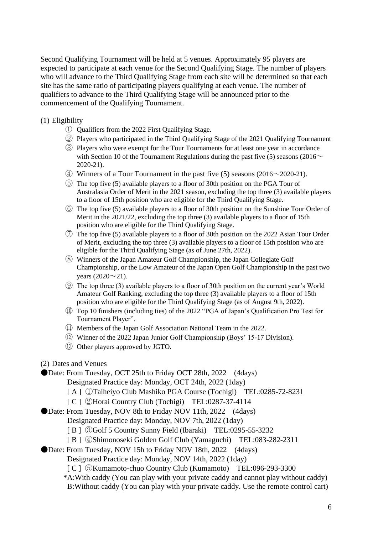Second Qualifying Tournament will be held at 5 venues. Approximately 95 players are expected to participate at each venue for the Second Qualifying Stage. The number of players who will advance to the Third Qualifying Stage from each site will be determined so that each site has the same ratio of participating players qualifying at each venue. The number of qualifiers to advance to the Third Qualifying Stage will be announced prior to the commencement of the Qualifying Tournament.

### (1) Eligibility

- ① Qualifiers from the 2022 First Qualifying Stage.
- ② Players who participated in the Third Qualifying Stage of the 2021 Qualifying Tournament
- ③ Players who were exempt for the Tour Tournaments for at least one year in accordance with Section 10 of the Tournament Regulations during the past five (5) seasons (2016 $\sim$ 2020-21).
- $\overline{4}$  Winners of a Tour Tournament in the past five (5) seasons (2016~2020-21).
- ⑤ The top five (5) available players to a floor of 30th position on the PGA Tour of Australasia Order of Merit in the 2021 season, excluding the top three (3) available players to a floor of 15th position who are eligible for the Third Qualifying Stage.
- ⑥ The top five (5) available players to a floor of 30th position on the Sunshine Tour Order of Merit in the 2021/22, excluding the top three (3) available players to a floor of 15th position who are eligible for the Third Qualifying Stage.
- ⑦ The top five (5) available players to a floor of 30th position on the 2022 Asian Tour Order of Merit, excluding the top three (3) available players to a floor of 15th position who are eligible for the Third Qualifying Stage (as of June 27th, 2022).
- ⑧ Winners of the Japan Amateur Golf Championship, the Japan Collegiate Golf Championship, or the Low Amateur of the Japan Open Golf Championship in the past two years  $(2020 \sim 21)$ .
- ⑨ The top three (3) available players to a floor of 30th position on the current year's World Amateur Golf Ranking, excluding the top three (3) available players to a floor of 15th position who are eligible for the Third Qualifying Stage (as of August 9th, 2022).
- ⑩ Top 10 finishers (including ties) of the 2022 "PGA of Japan's Qualification Pro Test for Tournament Player".
- ⑪ Members of the Japan Golf Association National Team in the 2022.
- ⑫ Winner of the 2022 Japan Junior Golf Championship (Boys' 15-17 Division).
- ⑬ Other players approved by JGTO.
- (2) Dates and Venues

●Date: From Tuesday, OCT 25th to Friday OCT 28th, 2022 (4days)

- Designated Practice day: Monday, OCT 24th, 2022 (1day)
- [ A ] ①Taiheiyo Club Mashiko PGA Course (Tochigi) TEL:0285-72-8231
- [ C ] ②Horai Country Club (Tochigi) TEL:0287-37-4114
- ●Date: From Tuesday, NOV 8th to Friday NOV 11th, 2022 (4days)
	- Designated Practice day: Monday, NOV 7th, 2022 (1day)
	- [ B ] 3Golf 5 Country Sunny Field (Ibaraki) TEL:0295-55-3232
	- [ B ] ④Shimonoseki Golden Golf Club (Yamaguchi) TEL:083-282-2311
- ●Date: From Tuesday, NOV 15h to Friday NOV 18th, 2022 (4days)
	- Designated Practice day: Monday, NOV 14th, 2022 (1day)
	- [ C ] ⑤Kumamoto-chuo Country Club (Kumamoto) TEL:096-293-3300

\*A:With caddy (You can play with your private caddy and cannot play without caddy) B:Without caddy (You can play with your private caddy. Use the remote control cart)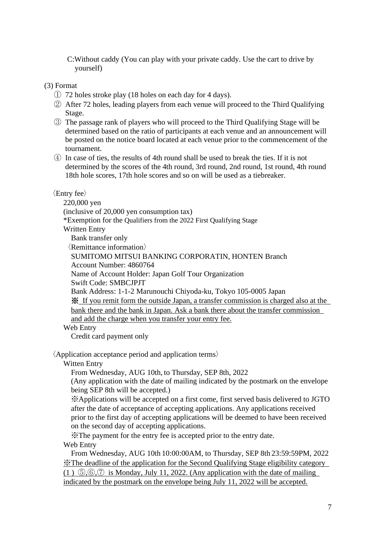C:Without caddy (You can play with your private caddy. Use the cart to drive by yourself)

(3) Format

- ① 72 holes stroke play (18 holes on each day for 4 days).
- ② After 72 holes, leading players from each venue will proceed to the Third Qualifying Stage.
- ③ The passage rank of players who will proceed to the Third Qualifying Stage will be determined based on the ratio of participants at each venue and an announcement will be posted on the notice board located at each venue prior to the commencement of the tournament.
- ④ In case of ties, the results of 4th round shall be used to break the ties. If it is not determined by the scores of the 4th round, 3rd round, 2nd round, 1st round, 4th round 18th hole scores, 17th hole scores and so on will be used as a tiebreaker.

## 〈Entry fee〉

220,000 yen (inclusive of 20,000 yen consumption tax) \*Exemption for the Qualifiers from the 2022 First Qualifying Stage Written Entry Bank transfer only 〈Remittance information〉 SUMITOMO MITSUI BANKING CORPORATIN, HONTEN Branch Account Number: 4860764 Name of Account Holder: Japan Golf Tour Organization Swift Code: SMBCJPJT Bank Address: 1-1-2 Marunouchi Chiyoda-ku, Tokyo 105-0005 Japan ※ If you remit form the outside Japan, a transfer commission is charged also at the bank there and the bank in Japan. Ask a bank there about the transfer commission and add the charge when you transfer your entry fee. Web Entry

Credit card payment only

〈Application acceptance period and application terms〉

Witten Entry

From Wednesday, AUG 10th, to Thursday, SEP 8th, 2022

(Any application with the date of mailing indicated by the postmark on the envelope being SEP 8th will be accepted.)

※Applications will be accepted on a first come, first served basis delivered to JGTO after the date of acceptance of accepting applications. Any applications received prior to the first day of accepting applications will be deemed to have been received on the second day of accepting applications.

※The payment for the entry fee is accepted prior to the entry date. Web Entry

 From Wednesday, AUG 10th 10:00:00AM, to Thursday, SEP 8th 23:59:59PM, 2022 ※The deadline of the application for the Second Qualifying Stage eligibility category (1)  $\mathcal{F}, \mathcal{F}, \mathcal{F}$  is Monday, July 11, 2022. (Any application with the date of mailing indicated by the postmark on the envelope being July 11, 2022 will be accepted.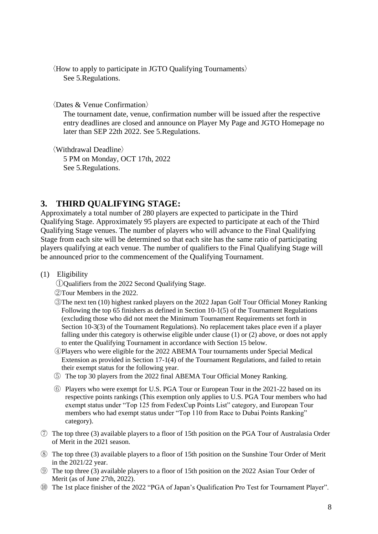〈How to apply to participate in JGTO Qualifying Tournaments〉 See 5.Regulations.

〈Dates & Venue Confirmation〉

The tournament date, venue, confirmation number will be issued after the respective entry deadlines are closed and announce on Player My Page and JGTO Homepage no later than SEP 22th 2022. See 5.Regulations.

〈Withdrawal Deadline〉 5 PM on Monday, OCT 17th, 2022 See 5.Regulations.

### **3. THIRD QUALIFYING STAGE:**

Approximately a total number of 280 players are expected to participate in the Third Qualifying Stage. Approximately 95 players are expected to participate at each of the Third Qualifying Stage venues. The number of players who will advance to the Final Qualifying Stage from each site will be determined so that each site has the same ratio of participating players qualifying at each venue. The number of qualifiers to the Final Qualifying Stage will be announced prior to the commencement of the Qualifying Tournament.

#### (1) Eligibility

- ①Qualifiers from the 2022 Second Qualifying Stage.
- ②Tour Members in the 2022.
- ③The next ten (10) highest ranked players on the 2022 Japan Golf Tour Official Money Ranking Following the top 65 finishers as defined in Section 10-1(5) of the Tournament Regulations (excluding those who did not meet the Minimum Tournament Requirements set forth in Section 10-3(3) of the Tournament Regulations). No replacement takes place even if a player falling under this category is otherwise eligible under clause (1) or (2) above, or does not apply to enter the Qualifying Tournament in accordance with Section 15 below.
- ④Players who were eligible for the 2022 ABEMA Tour tournaments under Special Medical Extension as provided in Section 17-1(4) of the Tournament Regulations, and failed to retain their exempt status for the following year.
- ⑤ The top 30 players from the 2022 final ABEMA Tour Official Money Ranking.
- ⑥ Players who were exempt for U.S. PGA Tour or European Tour in the 2021-22 based on its respective points rankings (This exemption only applies to U.S. PGA Tour members who had exempt status under "Top 125 from FedexCup Points List" category, and European Tour members who had exempt status under "Top 110 from Race to Dubai Points Ranking" category).
- ⑦ The top three (3) available players to a floor of 15th position on the PGA Tour of Australasia Order of Merit in the 2021 season.
- ⑧ The top three (3) available players to a floor of 15th position on the Sunshine Tour Order of Merit in the 2021/22 year.
- ⑨ The top three (3) available players to a floor of 15th position on the 2022 Asian Tour Order of Merit (as of June 27th, 2022).
- ⑩ The 1st place finisher of the 2022 "PGA of Japan's Qualification Pro Test for Tournament Player".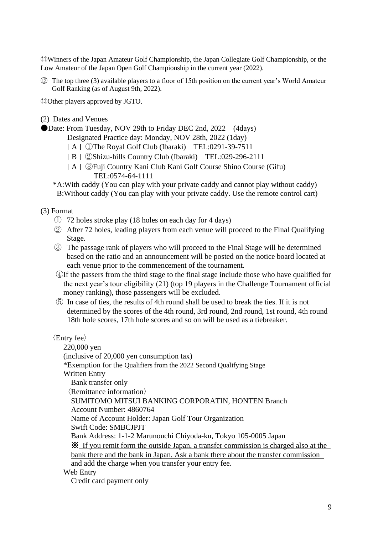⑪Winners of the Japan Amateur Golf Championship, the Japan Collegiate Golf Championship, or the Low Amateur of the Japan Open Golf Championship in the current year (2022).

⑫ The top three (3) available players to a floor of 15th position on the current year's World Amateur Golf Ranking (as of August 9th, 2022).

⑬Other players approved by JGTO.

(2) Dates and Venues

●Date: From Tuesday, NOV 29th to Friday DEC 2nd, 2022 (4days)

Designated Practice day: Monday, NOV 28th, 2022 (1day)

- [A] ①The Royal Golf Club (Ibaraki) TEL:0291-39-7511
- [ B ] ②Shizu-hills Country Club (Ibaraki) TEL:029-296-2111
- [ A ] ③Fuji Country Kani Club Kani Golf Course Shino Course (Gifu) TEL:0574-64-1111
- \*A:With caddy (You can play with your private caddy and cannot play without caddy) B:Without caddy (You can play with your private caddy. Use the remote control cart)

(3) Format

- ① 72 holes stroke play (18 holes on each day for 4 days)
- ② After 72 holes, leading players from each venue will proceed to the Final Qualifying Stage.
- ③ The passage rank of players who will proceed to the Final Stage will be determined based on the ratio and an announcement will be posted on the notice board located at each venue prior to the commencement of the tournament.
- ④If the passers from the third stage to the final stage include those who have qualified for the next year's tour eligibility (21) (top 19 players in the Challenge Tournament official money ranking), those passengers will be excluded.
- ⑤ In case of ties, the results of 4th round shall be used to break the ties. If it is not determined by the scores of the 4th round, 3rd round, 2nd round, 1st round, 4th round 18th hole scores, 17th hole scores and so on will be used as a tiebreaker.

〈Entry fee〉

220,000 yen (inclusive of 20,000 yen consumption tax) \*Exemption for the Qualifiers from the 2022 Second Qualifying Stage Written Entry Bank transfer only 〈Remittance information〉 SUMITOMO MITSUI BANKING CORPORATIN, HONTEN Branch Account Number: 4860764 Name of Account Holder: Japan Golf Tour Organization Swift Code: SMBCJPJT Bank Address: 1-1-2 Marunouchi Chiyoda-ku, Tokyo 105-0005 Japan ※ If you remit form the outside Japan, a transfer commission is charged also at the bank there and the bank in Japan. Ask a bank there about the transfer commission and add the charge when you transfer your entry fee. Web Entry Credit card payment only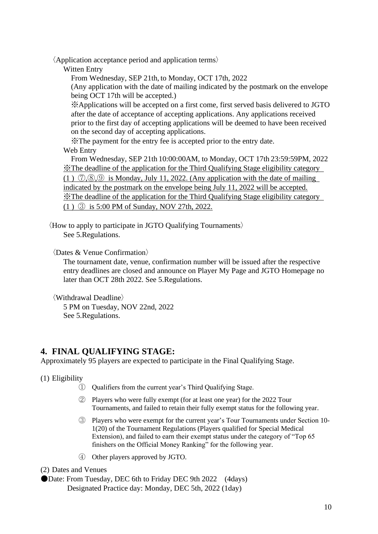〈Application acceptance period and application terms〉

Witten Entry

From Wednesday, SEP 21th, to Monday, OCT 17th, 2022

(Any application with the date of mailing indicated by the postmark on the envelope being OCT 17th will be accepted.)

※Applications will be accepted on a first come, first served basis delivered to JGTO after the date of acceptance of accepting applications. Any applications received prior to the first day of accepting applications will be deemed to have been received on the second day of accepting applications.

※The payment for the entry fee is accepted prior to the entry date. Web Entry

 From Wednesday, SEP 21th 10:00:00AM, to Monday, OCT 17th 23:59:59PM, 2022 ※The deadline of the application for the Third Qualifying Stage eligibility category (1)  $(2, 8, 9)$  is Monday, July 11, 2022. (Any application with the date of mailing indicated by the postmark on the envelope being July 11, 2022 will be accepted. ※The deadline of the application for the Third Qualifying Stage eligibility category (1 ) ③ is 5:00 PM of Sunday, NOV 27th, 2022.

〈How to apply to participate in JGTO Qualifying Tournaments〉 See 5.Regulations.

〈Dates & Venue Confirmation〉

The tournament date, venue, confirmation number will be issued after the respective entry deadlines are closed and announce on Player My Page and JGTO Homepage no later than OCT 28th 2022. See 5.Regulations.

〈Withdrawal Deadline〉

5 PM on Tuesday, NOV 22nd, 2022 See 5.Regulations.

# **4. FINAL QUALIFYING STAGE:**

Approximately 95 players are expected to participate in the Final Qualifying Stage.

(1) Eligibility

- ① Qualifiers from the current year's Third Qualifying Stage.
- ② Players who were fully exempt (for at least one year) for the 2022 Tour Tournaments, and failed to retain their fully exempt status for the following year.
- ③ Players who were exempt for the current year's Tour Tournaments under Section 10- 1(20) of the Tournament Regulations (Players qualified for Special Medical Extension), and failed to earn their exempt status under the category of "Top 65 finishers on the Official Money Ranking" for the following year.
- ④ Other players approved by JGTO.

(2) Dates and Venues

●Date: From Tuesday, DEC 6th to Friday DEC 9th 2022 (4days) Designated Practice day: Monday, DEC 5th, 2022 (1day)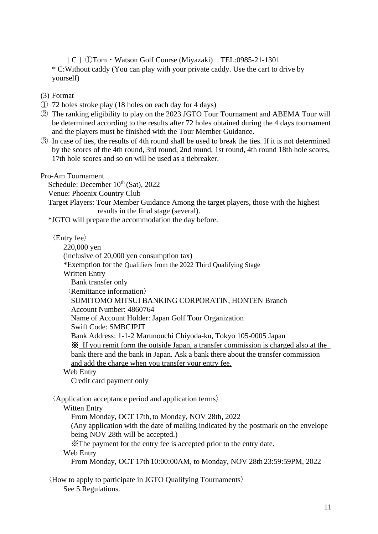[ C ] ①Tom・Watson Golf Course (Miyazaki) TEL:0985-21-1301 \* C:Without caddy (You can play with your private caddy. Use the cart to drive by yourself)

- (3) Format
- ① 72 holes stroke play (18 holes on each day for 4 days)
- ② The ranking eligibility to play on the 2023 JGTO Tour Tournament and ABEMA Tour will be determined according to the results after 72 holes obtained during the 4 days tournament and the players must be finished with the Tour Member Guidance.
- ③ In case of ties, the results of 4th round shall be used to break the ties. If it is not determined by the scores of the 4th round, 3rd round, 2nd round, 1st round, 4th round 18th hole scores, 17th hole scores and so on will be used as a tiebreaker.

Pro-Am Tournament

Schedule: December  $10^{th}$  (Sat), 2022 Venue: Phoenix Country Club Target Players: Tour Member Guidance Among the target players, those with the highest results in the final stage (several). \*JGTO will prepare the accommodation the day before.

〈Entry fee〉

220,000 yen (inclusive of 20,000 yen consumption tax) \*Exemption for the Qualifiers from the 2022 Third Qualifying Stage Written Entry Bank transfer only 〈Remittance information〉 SUMITOMO MITSUI BANKING CORPORATIN, HONTEN Branch Account Number: 4860764 Name of Account Holder: Japan Golf Tour Organization Swift Code: SMBCJPJT Bank Address: 1-1-2 Marunouchi Chiyoda-ku, Tokyo 105-0005 Japan ※ If you remit form the outside Japan, a transfer commission is charged also at the bank there and the bank in Japan. Ask a bank there about the transfer commission and add the charge when you transfer your entry fee. Web Entry Credit card payment only

〈Application acceptance period and application terms〉 Witten Entry From Monday, OCT 17th, to Monday, NOV 28th, 2022 (Any application with the date of mailing indicated by the postmark on the envelope being NOV 28th will be accepted.) ※The payment for the entry fee is accepted prior to the entry date. Web Entry From Monday, OCT 17th 10:00:00AM, to Monday, NOV 28th 23:59:59PM, 2022

〈How to apply to participate in JGTO Qualifying Tournaments〉 See 5.Regulations.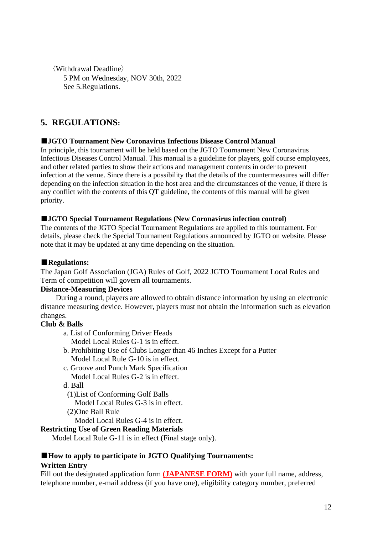〈Withdrawal Deadline〉 5 PM on Wednesday, NOV 30th, 2022 See 5.Regulations.

# **5. REGULATIONS:**

### ■**JGTO Tournament New Coronavirus Infectious Disease Control Manual**

In principle, this tournament will be held based on the JGTO Tournament New Coronavirus Infectious Diseases Control Manual. This manual is a guideline for players, golf course employees, and other related parties to show their actions and management contents in order to prevent infection at the venue. Since there is a possibility that the details of the countermeasures will differ depending on the infection situation in the host area and the circumstances of the venue, if there is any conflict with the contents of this QT guideline, the contents of this manual will be given priority.

### ■**JGTO Special Tournament Regulations (New Coronavirus infection control)**

The contents of the JGTO Special Tournament Regulations are applied to this tournament. For details, please check the Special Tournament Regulations announced by JGTO on website. Please note that it may be updated at any time depending on the situation.

### ■**Regulations:**

The Japan Golf Association (JGA) Rules of Golf, 2022 JGTO Tournament Local Rules and Term of competition will govern all tournaments.

### **Distance-Measuring Devices**

During a round, players are allowed to obtain distance information by using an electronic distance measuring device. However, players must not obtain the information such as elevation changes.

### **Club & Balls**

a. List of Conforming Driver Heads

Model Local Rules G-1 is in effect.

- b. Prohibiting Use of Clubs Longer than 46 Inches Except for a Putter Model Local Rule G-10 is in effect.
- c. Groove and Punch Mark Specification Model Local Rules G-2 is in effect.
- d. Ball
- (1)List of Conforming Golf Balls
- Model Local Rules G-3 is in effect.
- (2)One Ball Rule

Model Local Rules G-4 is in effect.

### **Restricting Use of Green Reading Materials**

Model Local Rule G-11 is in effect (Final stage only).

### ■**How to apply to participate in JGTO Qualifying Tournaments: Written Entry**

Fill out the designated application form **(JAPANESE FORM)** with your full name, address, telephone number, e-mail address (if you have one), eligibility category number, preferred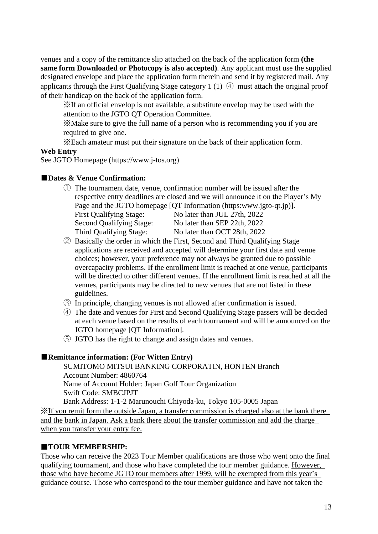venues and a copy of the remittance slip attached on the back of the application form **(the same form Downloaded or Photocopy is also accepted)**. Any applicant must use the supplied designated envelope and place the application form therein and send it by registered mail. Any applicants through the First Qualifying Stage category 1 (1) ④ must attach the original proof of their handicap on the back of the application form.

※If an official envelop is not available, a substitute envelop may be used with the attention to the JGTO QT Operation Committee.

※Make sure to give the full name of a person who is recommending you if you are required to give one.

※Each amateur must put their signature on the back of their application form.

### **Web Entry**

See JGTO Homepage (https://www.j-tos.org)

### ■**Dates & Venue Confirmation:**

- ① The tournament date, venue, confirmation number will be issued after the respective entry deadlines are closed and we will announce it on the Player's My Page and the JGTO homepage [QT Information (https:www.jgto-qt.jp)]. First Qualifying Stage: No later than JUL 27th, 2022 Second Qualifying Stage: No later than SEP 22th, 2022 Third Qualifying Stage: No later than OCT 28th, 2022
- ② Basically the order in which the First, Second and Third Qualifying Stage applications are received and accepted will determine your first date and venue choices; however, your preference may not always be granted due to possible overcapacity problems. If the enrollment limit is reached at one venue, participants will be directed to other different venues. If the enrollment limit is reached at all the venues, participants may be directed to new venues that are not listed in these guidelines.
- ③ In principle, changing venues is not allowed after confirmation is issued.
- ④ The date and venues for First and Second Qualifying Stage passers will be decided at each venue based on the results of each tournament and will be announced on the JGTO homepage [QT Information].
- ⑤ JGTO has the right to change and assign dates and venues.

### ■**Remittance information:** (For Witten Entry)

SUMITOMO MITSUI BANKING CORPORATIN, HONTEN Branch Account Number: 4860764 Name of Account Holder: Japan Golf Tour Organization Swift Code: SMBCJPJT

Bank Address: 1-1-2 Marunouchi Chiyoda-ku, Tokyo 105-0005 Japan ※If you remit form the outside Japan, a transfer commission is charged also at the bank there and the bank in Japan. Ask a bank there about the transfer commission and add the charge when you transfer your entry fee.

### ■**TOUR MEMBERSHIP:**

Those who can receive the 2023 Tour Member qualifications are those who went onto the final qualifying tournament, and those who have completed the tour member guidance. However, those who have become JGTO tour members after 1999, will be exempted from this year's guidance course. Those who correspond to the tour member guidance and have not taken the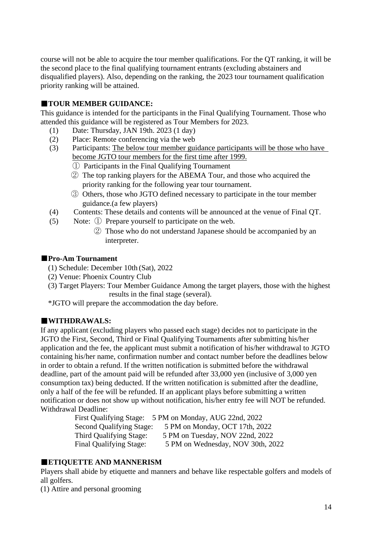course will not be able to acquire the tour member qualifications. For the QT ranking, it will be the second place to the final qualifying tournament entrants (excluding abstainers and disqualified players). Also, depending on the ranking, the 2023 tour tournament qualification priority ranking will be attained.

## ■**TOUR MEMBER GUIDANCE:**

This guidance is intended for the participants in the Final Qualifying Tournament. Those who attended this guidance will be registered as Tour Members for 2023.

- (1) Date: Thursday, JAN 19th. 2023 (1 day)
- (2) Place: Remote conferencing via the web
- (3) Participants: The below tour member guidance participants will be those who have become JGTO tour members for the first time after 1999.
	- ① Participants in the Final Qualifying Tournament
	- ② The top ranking players for the ABEMA Tour, and those who acquired the priority ranking for the following year tour tournament.
	- ③ Others, those who JGTO defined necessary to participate in the tour member guidance.(a few players)
- (4) Contents: These details and contents will be announced at the venue of Final QT.
- (5) Note: ① Prepare yourself to participate on the web.
	- ② Those who do not understand Japanese should be accompanied by an interpreter.

### ■**Pro-Am Tournament**

- (1) Schedule: December 10th (Sat), 2022
- (2) Venue: Phoenix Country Club
- (3) Target Players: Tour Member Guidance Among the target players, those with the highest results in the final stage (several).
- \*JGTO will prepare the accommodation the day before.

### ■**WITHDRAWALS:**

If any applicant (excluding players who passed each stage) decides not to participate in the JGTO the First, Second, Third or Final Qualifying Tournaments after submitting his/her application and the fee, the applicant must submit a notification of his/her withdrawal to JGTO containing his/her name, confirmation number and contact number before the deadlines below in order to obtain a refund. If the written notification is submitted before the withdrawal deadline, part of the amount paid will be refunded after 33,000 yen (inclusive of 3,000 yen consumption tax) being deducted. If the written notification is submitted after the deadline, only a half of the fee will be refunded. If an applicant plays before submitting a written notification or does not show up without notification, his/her entry fee will NOT be refunded. Withdrawal Deadline:

|                          | First Qualifying Stage: 5 PM on Monday, AUG 22nd, 2022 |
|--------------------------|--------------------------------------------------------|
| Second Qualifying Stage: | 5 PM on Monday, OCT 17th, 2022                         |
| Third Qualifying Stage:  | 5 PM on Tuesday, NOV 22nd, 2022                        |
| Final Qualifying Stage:  | 5 PM on Wednesday, NOV 30th, 2022                      |

### ■**ETIQUETTE AND MANNERISM**

Players shall abide by etiquette and manners and behave like respectable golfers and models of all golfers.

(1) Attire and personal grooming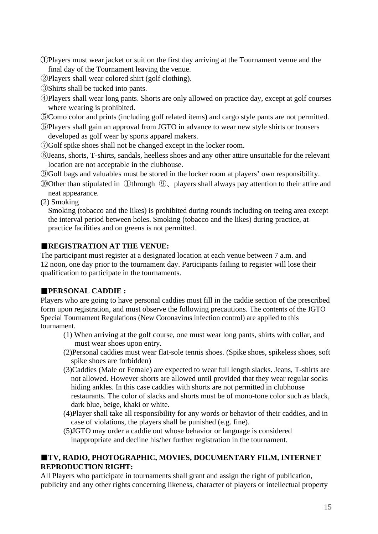- ➀Players must wear jacket or suit on the first day arriving at the Tournament venue and the final day of the Tournament leaving the venue.
- ②Players shall wear colored shirt (golf clothing).
- ③Shirts shall be tucked into pants.
- ④Players shall wear long pants. Shorts are only allowed on practice day, except at golf courses where wearing is prohibited.
- ⑤Como color and prints (including golf related items) and cargo style pants are not permitted.
- ⑥Players shall gain an approval from JGTO in advance to wear new style shirts or trousers developed as golf wear by sports apparel makers.
- ⑦Golf spike shoes shall not be changed except in the locker room.
- ⑧Jeans, shorts, T-shirts, sandals, heelless shoes and any other attire unsuitable for the relevant location are not acceptable in the clubhouse.
- ⑨Golf bags and valuables must be stored in the locker room at players' own responsibility.
- ⑩Other than stipulated in ①through ⑨、players shall always pay attention to their attire and neat appearance.
- (2) Smoking

Smoking (tobacco and the likes) is prohibited during rounds including on teeing area except the interval period between holes. Smoking (tobacco and the likes) during practice, at practice facilities and on greens is not permitted.

## ■**REGISTRATION AT THE VENUE:**

The participant must register at a designated location at each venue between 7 a.m. and 12 noon, one day prior to the tournament day. Participants failing to register will lose their qualification to participate in the tournaments.

## ■**PERSONAL CADDIE :**

Players who are going to have personal caddies must fill in the caddie section of the prescribed form upon registration, and must observe the following precautions. The contents of the JGTO Special Tournament Regulations (New Coronavirus infection control) are applied to this tournament.

- (1) When arriving at the golf course, one must wear long pants, shirts with collar, and must wear shoes upon entry.
- (2)Personal caddies must wear flat-sole tennis shoes. (Spike shoes, spikeless shoes, soft spike shoes are forbidden)
- (3)Caddies (Male or Female) are expected to wear full length slacks. Jeans, T-shirts are not allowed. However shorts are allowed until provided that they wear regular socks hiding ankles. In this case caddies with shorts are not permitted in clubhouse restaurants. The color of slacks and shorts must be of mono-tone color such as black, dark blue, beige, khaki or white.
- (4)Player shall take all responsibility for any words or behavior of their caddies, and in case of violations, the players shall be punished (e.g. fine).
- (5)JGTO may order a caddie out whose behavior or language is considered inappropriate and decline his/her further registration in the tournament.

## ■**TV, RADIO, PHOTOGRAPHIC, MOVIES, DOCUMENTARY FILM, INTERNET REPRODUCTION RIGHT:**

All Players who participate in tournaments shall grant and assign the right of publication, publicity and any other rights concerning likeness, character of players or intellectual property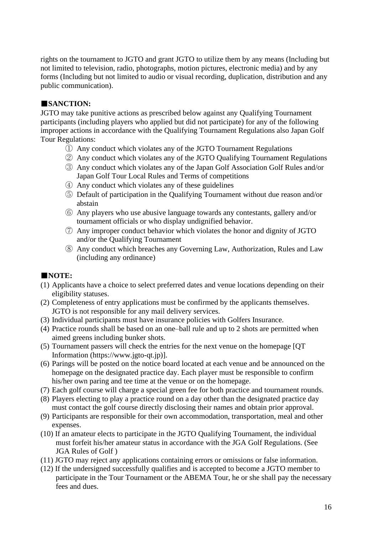rights on the tournament to JGTO and grant JGTO to utilize them by any means (Including but not limited to television, radio, photographs, motion pictures, electronic media) and by any forms (Including but not limited to audio or visual recording, duplication, distribution and any public communication).

## ■**SANCTION:**

JGTO may take punitive actions as prescribed below against any Qualifying Tournament participants (including players who applied but did not participate) for any of the following improper actions in accordance with the Qualifying Tournament Regulations also Japan Golf Tour Regulations:

- ① Any conduct which violates any of the JGTO Tournament Regulations
- ② Any conduct which violates any of the JGTO Qualifying Tournament Regulations
- ③ Any conduct which violates any of the Japan Golf Association Golf Rules and/or Japan Golf Tour Local Rules and Terms of competitions
- ④ Any conduct which violates any of these guidelines
- ⑤ Default of participation in the Qualifying Tournament without due reason and/or abstain
- ⑥ Any players who use abusive language towards any contestants, gallery and/or tournament officials or who display undignified behavior.
- ⑦ Any improper conduct behavior which violates the honor and dignity of JGTO and/or the Qualifying Tournament
- ⑧ Any conduct which breaches any Governing Law, Authorization, Rules and Law (including any ordinance)

# ■**NOTE:**

- (1) Applicants have a choice to select preferred dates and venue locations depending on their eligibility statuses.
- (2) Completeness of entry applications must be confirmed by the applicants themselves. JGTO is not responsible for any mail delivery services.
- (3) Individual participants must have insurance policies with Golfers Insurance.
- (4) Practice rounds shall be based on an one–ball rule and up to 2 shots are permitted when aimed greens including bunker shots.
- (5) Tournament passers will check the entries for the next venue on the homepage [QT Information (https://www.jgto-qt.jp)].
- (6) Parings will be posted on the notice board located at each venue and be announced on the homepage on the designated practice day. Each player must be responsible to confirm his/her own paring and tee time at the venue or on the homepage.
- (7) Each golf course will charge a special green fee for both practice and tournament rounds.
- (8) Players electing to play a practice round on a day other than the designated practice day must contact the golf course directly disclosing their names and obtain prior approval.
- (9) Participants are responsible for their own accommodation, transportation, meal and other expenses.
- (10) If an amateur elects to participate in the JGTO Qualifying Tournament, the individual must forfeit his/her amateur status in accordance with the JGA Golf Regulations. (See JGA Rules of Golf )
- (11) JGTO may reject any applications containing errors or omissions or false information.
- (12) If the undersigned successfully qualifies and is accepted to become a JGTO member to participate in the Tour Tournament or the ABEMA Tour, he or she shall pay the necessary fees and dues.